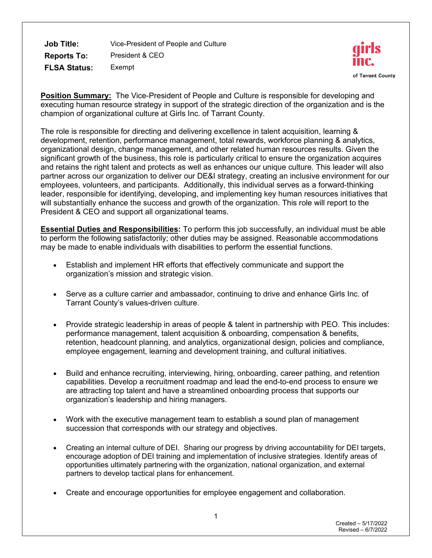**Job Title:** Vice-President of People and Culture **Reports To:** President & CEO **FLSA Status:** Exempt



**Position Summary:** The Vice-President of People and Culture is responsible for developing and executing human resource strategy in support of the strategic direction of the organization and is the champion of organizational culture at Girls Inc. of Tarrant County.

The role is responsible for directing and delivering excellence in talent acquisition, learning & development, retention, performance management, total rewards, workforce planning & analytics, organizational design, change management, and other related human resources results. Given the significant growth of the business, this role is particularly critical to ensure the organization acquires and retains the right talent and protects as well as enhances our unique culture. This leader will also partner across our organization to deliver our DE&I strategy, creating an inclusive environment for our employees, volunteers, and participants. Additionally, this individual serves as a forward-thinking leader, responsible for identifying, developing, and implementing key human resources initiatives that will substantially enhance the success and growth of the organization. This role will report to the President & CEO and support all organizational teams.

**Essential Duties and Responsibilities:** To perform this job successfully, an individual must be able to perform the following satisfactorily; other duties may be assigned. Reasonable accommodations may be made to enable individuals with disabilities to perform the essential functions.

- Establish and implement HR efforts that effectively communicate and support the organization's mission and strategic vision.
- Serve as a culture carrier and ambassador, continuing to drive and enhance Girls Inc. of Tarrant County's values-driven culture.
- Provide strategic leadership in areas of people & talent in partnership with PEO. This includes: performance management, talent acquisition & onboarding, compensation & benefits, retention, headcount planning, and analytics, organizational design, policies and compliance, employee engagement, learning and development training, and cultural initiatives.
- Build and enhance recruiting, interviewing, hiring, onboarding, career pathing, and retention capabilities. Develop a recruitment roadmap and lead the end-to-end process to ensure we are attracting top talent and have a streamlined onboarding process that supports our organization's leadership and hiring managers.
- Work with the executive management team to establish a sound plan of management succession that corresponds with our strategy and objectives.
- Creating an internal culture of DEI. Sharing our progress by driving accountability for DEI targets, encourage adoption of DEI training and implementation of inclusive strategies. Identify areas of opportunities ultimately partnering with the organization, national organization, and external partners to develop tactical plans for enhancement.
- Create and encourage opportunities for employee engagement and collaboration.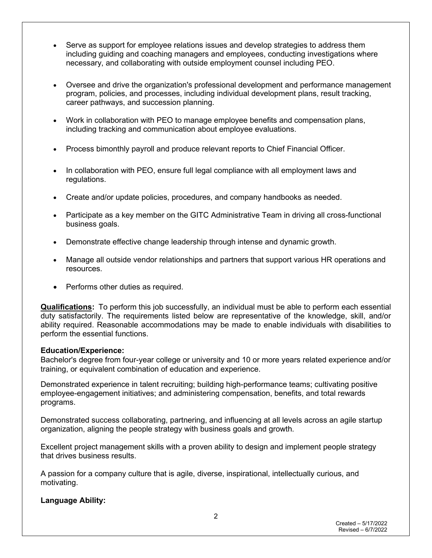- Serve as support for employee relations issues and develop strategies to address them including guiding and coaching managers and employees, conducting investigations where necessary, and collaborating with outside employment counsel including PEO.
- Oversee and drive the organization's professional development and performance management program, policies, and processes, including individual development plans, result tracking, career pathways, and succession planning.
- Work in collaboration with PEO to manage employee benefits and compensation plans, including tracking and communication about employee evaluations.
- Process bimonthly payroll and produce relevant reports to Chief Financial Officer.
- In collaboration with PEO, ensure full legal compliance with all employment laws and regulations.
- Create and/or update policies, procedures, and company handbooks as needed.
- Participate as a key member on the GITC Administrative Team in driving all cross-functional business goals.
- Demonstrate effective change leadership through intense and dynamic growth.
- Manage all outside vendor relationships and partners that support various HR operations and resources.
- Performs other duties as required.

**Qualifications:** To perform this job successfully, an individual must be able to perform each essential duty satisfactorily. The requirements listed below are representative of the knowledge, skill, and/or ability required. Reasonable accommodations may be made to enable individuals with disabilities to perform the essential functions.

# **Education/Experience:**

Bachelor's degree from four-year college or university and 10 or more years related experience and/or training, or equivalent combination of education and experience.

Demonstrated experience in talent recruiting; building high-performance teams; cultivating positive employee-engagement initiatives; and administering compensation, benefits, and total rewards programs.

Demonstrated success collaborating, partnering, and influencing at all levels across an agile startup organization, aligning the people strategy with business goals and growth.

Excellent project management skills with a proven ability to design and implement people strategy that drives business results.

A passion for a company culture that is agile, diverse, inspirational, intellectually curious, and motivating.

# **Language Ability:**